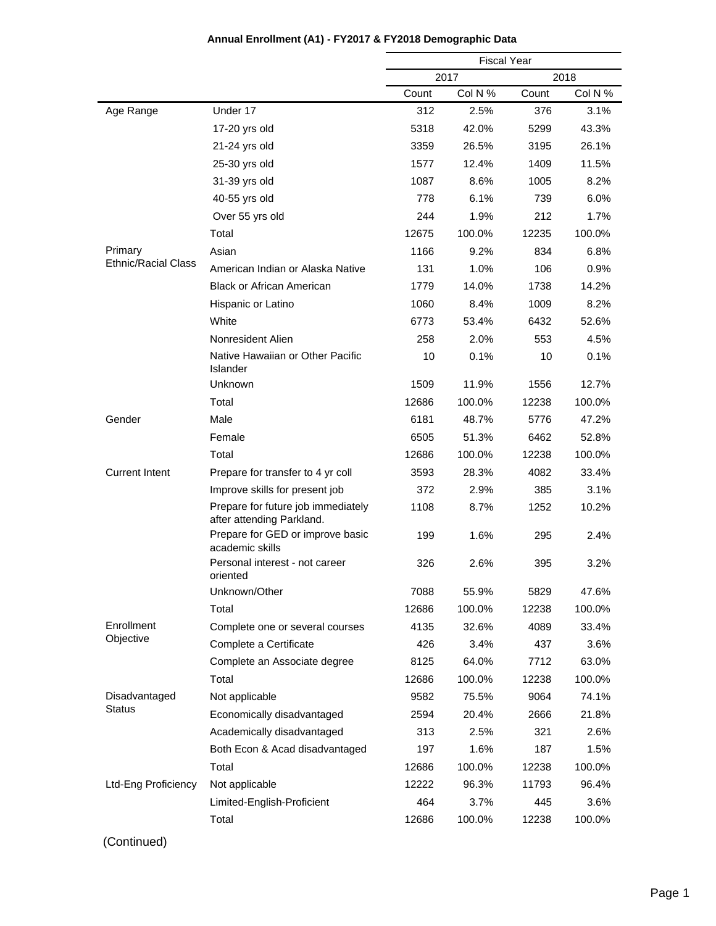|                            |                                                                 |       | <b>Fiscal Year</b> |       |         |
|----------------------------|-----------------------------------------------------------------|-------|--------------------|-------|---------|
|                            |                                                                 |       | 2017               |       | 2018    |
|                            |                                                                 | Count | Col N %            | Count | Col N % |
| Age Range                  | Under 17                                                        | 312   | 2.5%               | 376   | 3.1%    |
|                            | 17-20 yrs old                                                   | 5318  | 42.0%              | 5299  | 43.3%   |
|                            | 21-24 yrs old                                                   | 3359  | 26.5%              | 3195  | 26.1%   |
|                            | 25-30 yrs old                                                   | 1577  | 12.4%              | 1409  | 11.5%   |
|                            | 31-39 yrs old                                                   | 1087  | 8.6%               | 1005  | 8.2%    |
|                            | 40-55 yrs old                                                   | 778   | 6.1%               | 739   | 6.0%    |
|                            | Over 55 yrs old                                                 | 244   | 1.9%               | 212   | 1.7%    |
|                            | Total                                                           | 12675 | 100.0%             | 12235 | 100.0%  |
| Primary                    | Asian                                                           | 1166  | 9.2%               | 834   | 6.8%    |
| <b>Ethnic/Racial Class</b> | American Indian or Alaska Native                                | 131   | 1.0%               | 106   | 0.9%    |
|                            | <b>Black or African American</b>                                | 1779  | 14.0%              | 1738  | 14.2%   |
|                            | Hispanic or Latino                                              | 1060  | 8.4%               | 1009  | 8.2%    |
|                            | White                                                           | 6773  | 53.4%              | 6432  | 52.6%   |
|                            | Nonresident Alien                                               | 258   | 2.0%               | 553   | 4.5%    |
|                            | Native Hawaiian or Other Pacific<br>Islander                    | 10    | 0.1%               | 10    | 0.1%    |
|                            | Unknown                                                         | 1509  | 11.9%              | 1556  | 12.7%   |
|                            | Total                                                           | 12686 | 100.0%             | 12238 | 100.0%  |
| Gender                     | Male                                                            | 6181  | 48.7%              | 5776  | 47.2%   |
|                            | Female                                                          | 6505  | 51.3%              | 6462  | 52.8%   |
|                            | Total                                                           | 12686 | 100.0%             | 12238 | 100.0%  |
| <b>Current Intent</b>      | Prepare for transfer to 4 yr coll                               | 3593  | 28.3%              | 4082  | 33.4%   |
|                            | Improve skills for present job                                  | 372   | 2.9%               | 385   | 3.1%    |
|                            | Prepare for future job immediately<br>after attending Parkland. | 1108  | 8.7%               | 1252  | 10.2%   |
|                            | Prepare for GED or improve basic<br>academic skills             | 199   | 1.6%               | 295   | 2.4%    |
|                            | Personal interest - not career<br>oriented                      | 326   | 2.6%               | 395   | 3.2%    |
|                            | Unknown/Other                                                   | 7088  | 55.9%              | 5829  | 47.6%   |
|                            | Total                                                           | 12686 | 100.0%             | 12238 | 100.0%  |
| Enrollment                 | Complete one or several courses                                 | 4135  | 32.6%              | 4089  | 33.4%   |
| Objective                  | Complete a Certificate                                          | 426   | 3.4%               | 437   | 3.6%    |
|                            | Complete an Associate degree                                    | 8125  | 64.0%              | 7712  | 63.0%   |
|                            | Total                                                           | 12686 | 100.0%             | 12238 | 100.0%  |
| Disadvantaged              | Not applicable                                                  | 9582  | 75.5%              | 9064  | 74.1%   |
| <b>Status</b>              | Economically disadvantaged                                      | 2594  | 20.4%              | 2666  | 21.8%   |
|                            | Academically disadvantaged                                      | 313   | 2.5%               | 321   | 2.6%    |
|                            | Both Econ & Acad disadvantaged                                  | 197   | 1.6%               | 187   | 1.5%    |
|                            | Total                                                           | 12686 | 100.0%             | 12238 | 100.0%  |
| Ltd-Eng Proficiency        | Not applicable                                                  | 12222 | 96.3%              | 11793 | 96.4%   |
|                            | Limited-English-Proficient                                      | 464   | 3.7%               | 445   | 3.6%    |
|                            | Total                                                           | 12686 | 100.0%             | 12238 | 100.0%  |

# **Annual Enrollment (A1) - FY2017 & FY2018 Demographic Data**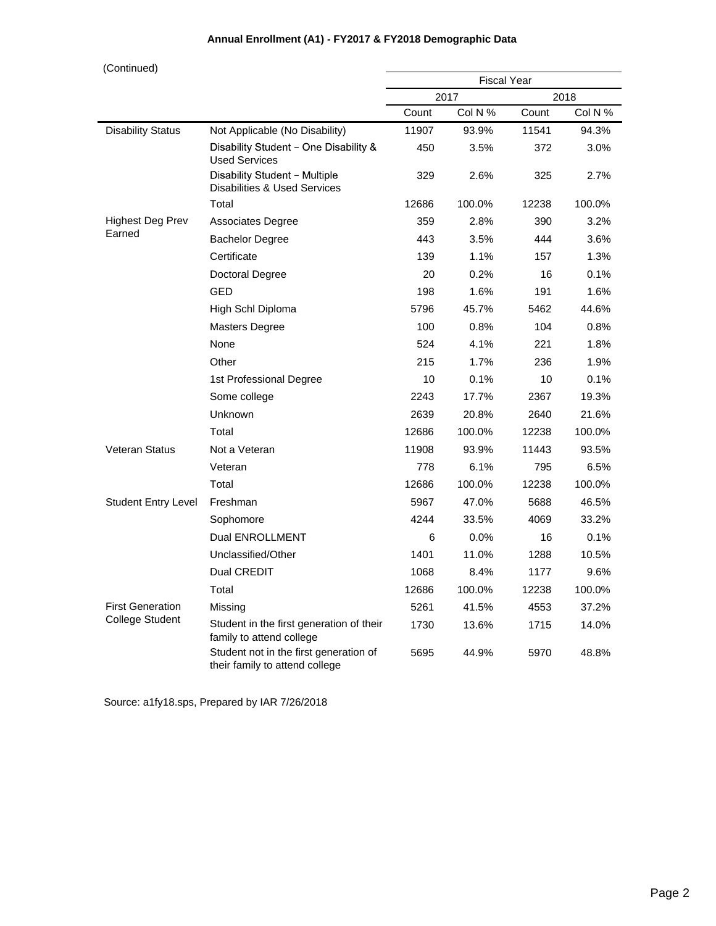| (Continued)                |                                                                          | <b>Fiscal Year</b> |                 |       |                 |  |
|----------------------------|--------------------------------------------------------------------------|--------------------|-----------------|-------|-----------------|--|
|                            |                                                                          |                    |                 |       |                 |  |
|                            |                                                                          | Count              | 2017<br>Col N % | Count | 2018<br>Col N % |  |
| <b>Disability Status</b>   | Not Applicable (No Disability)                                           | 11907              | 93.9%           | 11541 | 94.3%           |  |
|                            | Disability Student - One Disability &<br><b>Used Services</b>            | 450                | 3.5%            | 372   | 3.0%            |  |
|                            | Disability Student - Multiple<br><b>Disabilities &amp; Used Services</b> | 329                | 2.6%            | 325   | 2.7%            |  |
|                            | Total                                                                    | 12686              | 100.0%          | 12238 | 100.0%          |  |
| <b>Highest Deg Prev</b>    | Associates Degree                                                        | 359                | 2.8%            | 390   | 3.2%            |  |
| Earned                     | <b>Bachelor Degree</b>                                                   | 443                | 3.5%            | 444   | 3.6%            |  |
|                            | Certificate                                                              | 139                | 1.1%            | 157   | 1.3%            |  |
|                            | Doctoral Degree                                                          | 20                 | 0.2%            | 16    | 0.1%            |  |
|                            | <b>GED</b>                                                               | 198                | 1.6%            | 191   | 1.6%            |  |
|                            | High Schl Diploma                                                        | 5796               | 45.7%           | 5462  | 44.6%           |  |
|                            | <b>Masters Degree</b>                                                    | 100                | 0.8%            | 104   | 0.8%            |  |
|                            | None                                                                     | 524                | 4.1%            | 221   | 1.8%            |  |
|                            | Other                                                                    | 215                | 1.7%            | 236   | 1.9%            |  |
|                            | 1st Professional Degree                                                  | 10                 | 0.1%            | 10    | 0.1%            |  |
|                            | Some college                                                             | 2243               | 17.7%           | 2367  | 19.3%           |  |
|                            | Unknown                                                                  | 2639               | 20.8%           | 2640  | 21.6%           |  |
|                            | Total                                                                    | 12686              | 100.0%          | 12238 | 100.0%          |  |
| <b>Veteran Status</b>      | Not a Veteran                                                            | 11908              | 93.9%           | 11443 | 93.5%           |  |
|                            | Veteran                                                                  | 778                | 6.1%            | 795   | 6.5%            |  |
|                            | Total                                                                    | 12686              | 100.0%          | 12238 | 100.0%          |  |
| <b>Student Entry Level</b> | Freshman                                                                 | 5967               | 47.0%           | 5688  | 46.5%           |  |
|                            | Sophomore                                                                | 4244               | 33.5%           | 4069  | 33.2%           |  |
|                            | Dual ENROLLMENT                                                          | 6                  | 0.0%            | 16    | 0.1%            |  |
|                            | Unclassified/Other                                                       | 1401               | 11.0%           | 1288  | 10.5%           |  |
|                            | Dual CREDIT                                                              | 1068               | 8.4%            | 1177  | 9.6%            |  |
|                            | Total                                                                    | 12686              | 100.0%          | 12238 | 100.0%          |  |
| <b>First Generation</b>    | Missing                                                                  | 5261               | 41.5%           | 4553  | 37.2%           |  |
| <b>College Student</b>     | Student in the first generation of their<br>family to attend college     | 1730               | 13.6%           | 1715  | 14.0%           |  |
|                            | Student not in the first generation of<br>their family to attend college | 5695               | 44.9%           | 5970  | 48.8%           |  |

## **Annual Enrollment (A1) - FY2017 & FY2018 Demographic Data**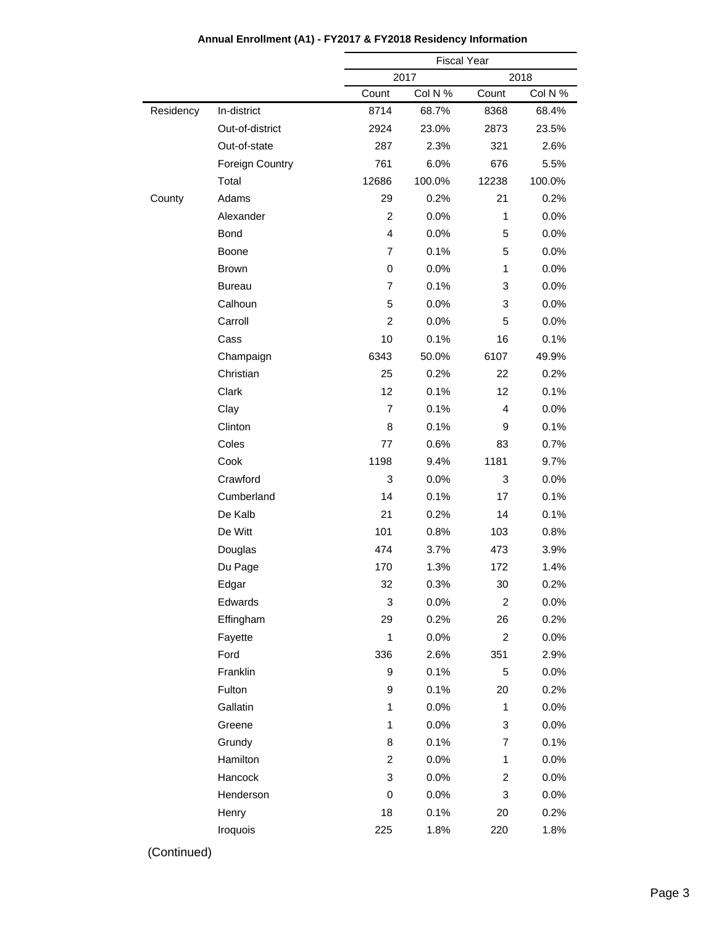|           |                        | <b>Fiscal Year</b>        |         |                         |         |  |
|-----------|------------------------|---------------------------|---------|-------------------------|---------|--|
|           |                        |                           | 2017    |                         | 2018    |  |
|           |                        | Count                     | Col N % | Count                   | Col N % |  |
| Residency | In-district            | 8714                      | 68.7%   | 8368                    | 68.4%   |  |
|           | Out-of-district        | 2924                      | 23.0%   | 2873                    | 23.5%   |  |
|           | Out-of-state           | 287                       | 2.3%    | 321                     | 2.6%    |  |
|           | <b>Foreign Country</b> | 761                       | 6.0%    | 676                     | 5.5%    |  |
|           | Total                  | 12686                     | 100.0%  | 12238                   | 100.0%  |  |
| County    | Adams                  | 29                        | 0.2%    | 21                      | 0.2%    |  |
|           | Alexander              | $\overline{c}$            | 0.0%    | $\mathbf{1}$            | 0.0%    |  |
|           | <b>Bond</b>            | $\overline{4}$            | 0.0%    | 5                       | 0.0%    |  |
|           | Boone                  | $\overline{7}$            | 0.1%    | 5                       | 0.0%    |  |
|           | <b>Brown</b>           | 0                         | 0.0%    | $\mathbf{1}$            | 0.0%    |  |
|           | <b>Bureau</b>          | $\overline{7}$            | 0.1%    | 3                       | 0.0%    |  |
|           | Calhoun                | 5                         | 0.0%    | 3                       | 0.0%    |  |
|           | Carroll                | $\overline{2}$            | 0.0%    | 5                       | 0.0%    |  |
|           | Cass                   | 10                        | 0.1%    | 16                      | 0.1%    |  |
|           | Champaign              | 6343                      | 50.0%   | 6107                    | 49.9%   |  |
|           | Christian              | 25                        | 0.2%    | 22                      | 0.2%    |  |
|           | Clark                  | 12                        | 0.1%    | 12                      | 0.1%    |  |
|           | Clay                   | $\overline{7}$            | 0.1%    | 4                       | 0.0%    |  |
|           | Clinton                | 8                         | 0.1%    | 9                       | 0.1%    |  |
|           | Coles                  | 77                        | 0.6%    | 83                      | 0.7%    |  |
|           | Cook                   | 1198                      | 9.4%    | 1181                    | 9.7%    |  |
|           | Crawford               | 3                         | 0.0%    | 3                       | 0.0%    |  |
|           | Cumberland             | 14                        | 0.1%    | 17                      | 0.1%    |  |
|           | De Kalb                | 21                        | 0.2%    | 14                      | 0.1%    |  |
|           | De Witt                | 101                       | 0.8%    | 103                     | 0.8%    |  |
|           | Douglas                | 474                       | 3.7%    | 473                     | 3.9%    |  |
|           | Du Page                | 170                       | 1.3%    | 172                     | 1.4%    |  |
|           | Edgar                  | 32                        | 0.3%    | 30                      | $0.2\%$ |  |
|           | Edwards                | $\ensuremath{\mathsf{3}}$ | 0.0%    | $\overline{c}$          | 0.0%    |  |
|           | Effingham              | 29                        | 0.2%    | 26                      | 0.2%    |  |
|           | Fayette                | 1                         | 0.0%    | $\overline{c}$          | 0.0%    |  |
|           | Ford                   | 336                       | 2.6%    | 351                     | 2.9%    |  |
|           | Franklin               | 9                         | 0.1%    | 5                       | 0.0%    |  |
|           | Fulton                 | 9                         | 0.1%    | 20                      | 0.2%    |  |
|           | Gallatin               | $\mathbf{1}$              | 0.0%    | 1                       | 0.0%    |  |
|           | Greene                 | $\mathbf{1}$              | 0.0%    | 3                       | 0.0%    |  |
|           | Grundy                 | 8                         | 0.1%    | 7                       | 0.1%    |  |
|           | Hamilton               | $\overline{\mathbf{c}}$   | 0.0%    | 1                       | 0.0%    |  |
|           | Hancock                | 3                         | 0.0%    | $\overline{\mathbf{c}}$ | 0.0%    |  |
|           | Henderson              | 0                         | 0.0%    | 3                       | 0.0%    |  |
|           | Henry                  | 18                        | 0.1%    | 20                      | 0.2%    |  |
|           | Iroquois               | 225                       | 1.8%    | 220                     | 1.8%    |  |
|           |                        |                           |         |                         |         |  |

### **Annual Enrollment (A1) - FY2017 & FY2018 Residency Information**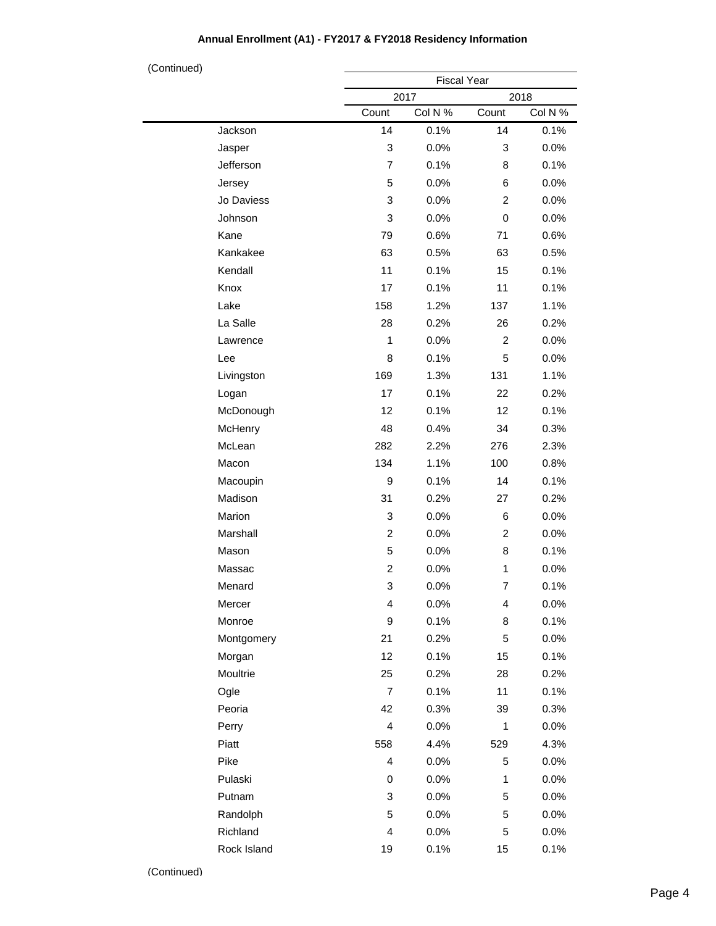#### Fiscal Year 2017 2018 Count Col N % Count Col N % Jackson Jasper Jefferson Jersey Jo Daviess Johnson Kane Kankakee Kendall Knox Lake La Salle Lawrence Lee Livingston Logan McDonough **McHenry** McLean Macon Macoupin Madison Marion Marshall Mason Massac Menard Mercer Monroe Montgomery Morgan Moultrie Ogle Peoria Perry Piatt Pike Pulaski Putnam Randolph Richland Rock Island 14 0.1% 14 0.1% 3 0.0% 3 0.0% 7 0.1% 8 0.1% 5 0.0% 6 0.0% 3 0.0% 2 0.0% 3 0.0% 0 0.0% 79 0.6% 71 0.6% 63 0.5% 63 0.5% 11 0.1% 15 0.1% 17 0.1% 11 0.1% 158 1.2% 137 1.1% 28 0.2% 26 0.2% 1 0.0% 2 0.0% 8 0.1% 5 0.0% 169 1.3% 131 1.1% 17 0.1% 22 0.2% 12 0.1% 12 0.1% 48 0.4% 34 0.3% 282 2.2% 276 2.3% 134 1.1% 100 0.8% 9 0.1% 14 0.1% 31 0.2% 27 0.2% 3 0.0% 6 0.0% 2 0.0% 2 0.0% 5 0.0% 8 0.1% 2 0.0% 1 0.0% 3 0.0% 7 0.1% 4 0.0% 4 0.0% 9 0.1% 8 0.1% 21 0.2% 5 0.0% 12 0.1% 15 0.1% 25 0.2% 28 0.2% 7 0.1% 11 0.1% 42 0.3% 39 0.3% 4 0.0% 1 0.0% 558 4.4% 529 4.3% 4 0.0% 5 0.0% 0 0.0% 1 0.0% 3 0.0% 5 0.0% 5 0.0% 5 0.0% 4 0.0% 5 0.0% 19 0.1% 15 0.1% (Continued)

#### **Annual Enrollment (A1) - FY2017 & FY2018 Residency Information**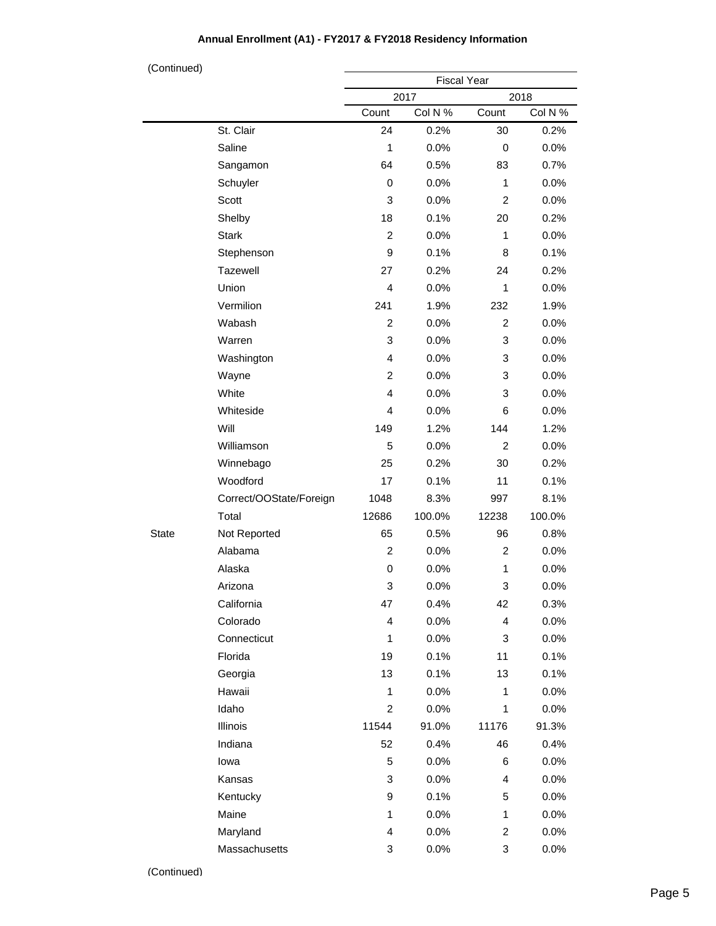| (Continued)  |                         |                    |         |                |         |  |
|--------------|-------------------------|--------------------|---------|----------------|---------|--|
|              |                         | <b>Fiscal Year</b> |         |                |         |  |
|              |                         |                    | 2017    |                | 2018    |  |
|              |                         | Count              | Col N % | Count          | Col N % |  |
|              | St. Clair               | 24                 | 0.2%    | 30             | 0.2%    |  |
|              | Saline                  | 1                  | 0.0%    | 0              | 0.0%    |  |
|              | Sangamon                | 64                 | 0.5%    | 83             | 0.7%    |  |
|              | Schuyler                | $\mathbf 0$        | 0.0%    | $\mathbf{1}$   | 0.0%    |  |
|              | Scott                   | 3                  | 0.0%    | $\overline{c}$ | 0.0%    |  |
|              | Shelby                  | 18                 | 0.1%    | 20             | 0.2%    |  |
|              | <b>Stark</b>            | $\overline{c}$     | 0.0%    | 1              | 0.0%    |  |
|              | Stephenson              | 9                  | 0.1%    | 8              | 0.1%    |  |
|              | Tazewell                | 27                 | 0.2%    | 24             | 0.2%    |  |
|              | Union                   | $\overline{4}$     | 0.0%    | 1              | 0.0%    |  |
|              | Vermilion               | 241                | 1.9%    | 232            | 1.9%    |  |
|              | Wabash                  | $\overline{c}$     | 0.0%    | $\overline{c}$ | 0.0%    |  |
|              | Warren                  | 3                  | 0.0%    | 3              | 0.0%    |  |
|              | Washington              | $\overline{4}$     | 0.0%    | 3              | 0.0%    |  |
|              | Wayne                   | $\overline{c}$     | 0.0%    | 3              | 0.0%    |  |
|              | White                   | $\overline{4}$     | 0.0%    | 3              | 0.0%    |  |
|              | Whiteside               | 4                  | 0.0%    | 6              | 0.0%    |  |
|              | Will                    | 149                | 1.2%    | 144            | 1.2%    |  |
|              | Williamson              | 5                  | 0.0%    | $\overline{c}$ | 0.0%    |  |
|              | Winnebago               | 25                 | 0.2%    | 30             | 0.2%    |  |
|              | Woodford                | 17                 | 0.1%    | 11             | 0.1%    |  |
|              | Correct/OOState/Foreign | 1048               | 8.3%    | 997            | 8.1%    |  |
|              | Total                   | 12686              | 100.0%  | 12238          | 100.0%  |  |
| <b>State</b> | Not Reported            | 65                 | 0.5%    | 96             | 0.8%    |  |
|              | Alabama                 | $\overline{c}$     | 0.0%    | 2              | 0.0%    |  |
|              | Alaska                  | 0                  | 0.0%    | 1              | 0.0%    |  |
|              | Arizona                 | З                  | 0.0%    | З              | 0.0%    |  |
|              | California              | 47                 | 0.4%    | 42             | 0.3%    |  |
|              | Colorado                | 4                  | 0.0%    | 4              | 0.0%    |  |
|              | Connecticut             | 1                  | 0.0%    | 3              | 0.0%    |  |
|              | Florida                 | 19                 | 0.1%    | 11             | 0.1%    |  |
|              | Georgia                 | 13                 | 0.1%    | 13             | 0.1%    |  |
|              | Hawaii                  | 1                  | 0.0%    | 1              | 0.0%    |  |
|              | Idaho                   | $\overline{c}$     | 0.0%    | 1              | 0.0%    |  |
|              | Illinois                | 11544              | 91.0%   | 11176          | 91.3%   |  |
|              | Indiana                 | 52                 | 0.4%    | 46             | 0.4%    |  |
|              | lowa                    | 5                  | 0.0%    | 6              | 0.0%    |  |
|              | Kansas                  | 3                  | 0.0%    | 4              | 0.0%    |  |
|              | Kentucky                | 9                  | 0.1%    | 5              | 0.0%    |  |
|              | Maine                   | 1                  | 0.0%    | $\mathbf{1}$   | 0.0%    |  |
|              | Maryland                | 4                  | 0.0%    | 2              | 0.0%    |  |
|              | Massachusetts           | 3                  | 0.0%    | 3              | 0.0%    |  |

# **Annual Enrollment (A1) - FY2017 & FY2018 Residency Information**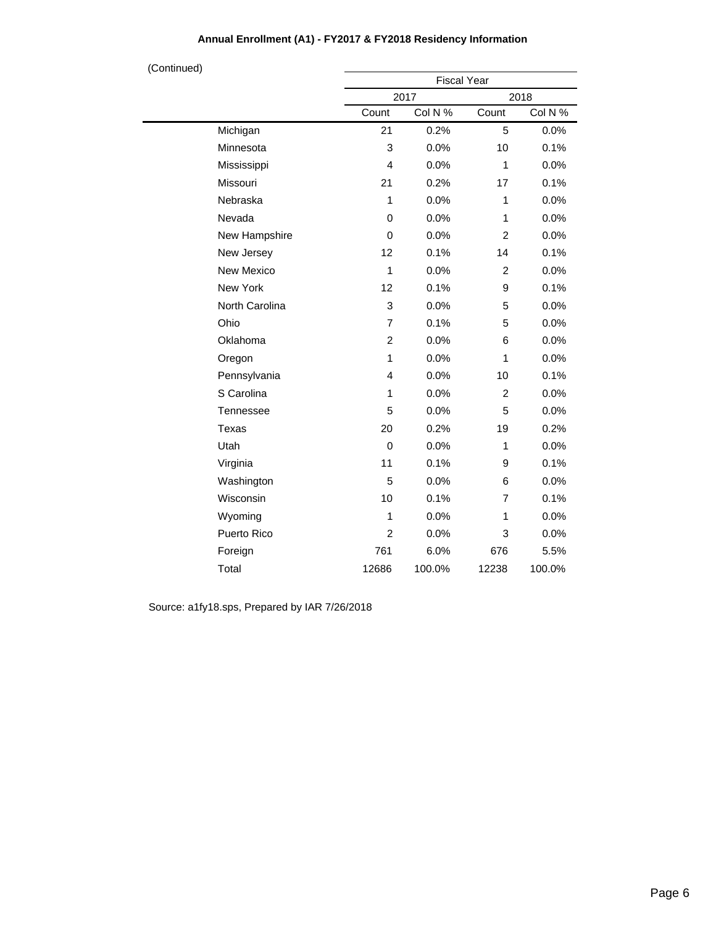| (Continued) |                  |                | <b>Fiscal Year</b> |                |         |  |
|-------------|------------------|----------------|--------------------|----------------|---------|--|
|             |                  |                | 2017               |                | 2018    |  |
|             |                  | Count          | Col N %            | Count          | Col N % |  |
|             | Michigan         | 21             | 0.2%               | 5              | 0.0%    |  |
|             | Minnesota        | 3              | 0.0%               | 10             | 0.1%    |  |
|             | Mississippi      | 4              | 0.0%               | 1              | 0.0%    |  |
|             | Missouri         | 21             | 0.2%               | 17             | 0.1%    |  |
|             | Nebraska         | $\mathbf{1}$   | 0.0%               | $\mathbf{1}$   | 0.0%    |  |
|             | Nevada           | 0              | 0.0%               | 1              | 0.0%    |  |
|             | New Hampshire    | 0              | 0.0%               | $\overline{2}$ | 0.0%    |  |
|             | New Jersey       | 12             | 0.1%               | 14             | 0.1%    |  |
|             | New Mexico       | $\mathbf{1}$   | 0.0%               | $\overline{2}$ | 0.0%    |  |
|             | New York         | 12             | 0.1%               | 9              | 0.1%    |  |
|             | North Carolina   | 3              | 0.0%               | 5              | 0.0%    |  |
|             | Ohio             | 7              | 0.1%               | 5              | 0.0%    |  |
|             | Oklahoma         | $\overline{2}$ | 0.0%               | 6              | 0.0%    |  |
|             | Oregon           | $\mathbf{1}$   | 0.0%               | 1              | 0.0%    |  |
|             | Pennsylvania     | 4              | 0.0%               | 10             | 0.1%    |  |
|             | S Carolina       | 1              | 0.0%               | $\overline{c}$ | 0.0%    |  |
|             | <b>Tennessee</b> | 5              | 0.0%               | 5              | 0.0%    |  |
|             | Texas            | 20             | 0.2%               | 19             | 0.2%    |  |
|             | Utah             | $\mathbf 0$    | 0.0%               | $\mathbf{1}$   | 0.0%    |  |
|             | Virginia         | 11             | 0.1%               | 9              | 0.1%    |  |
|             | Washington       | 5              | 0.0%               | 6              | 0.0%    |  |
|             | Wisconsin        | 10             | 0.1%               | 7              | 0.1%    |  |
|             | Wyoming          | 1              | 0.0%               | 1              | 0.0%    |  |
|             | Puerto Rico      | $\overline{c}$ | 0.0%               | 3              | 0.0%    |  |
|             | Foreign          | 761            | 6.0%               | 676            | 5.5%    |  |
|             | Total            | 12686          | 100.0%             | 12238          | 100.0%  |  |

## **Annual Enrollment (A1) - FY2017 & FY2018 Residency Information**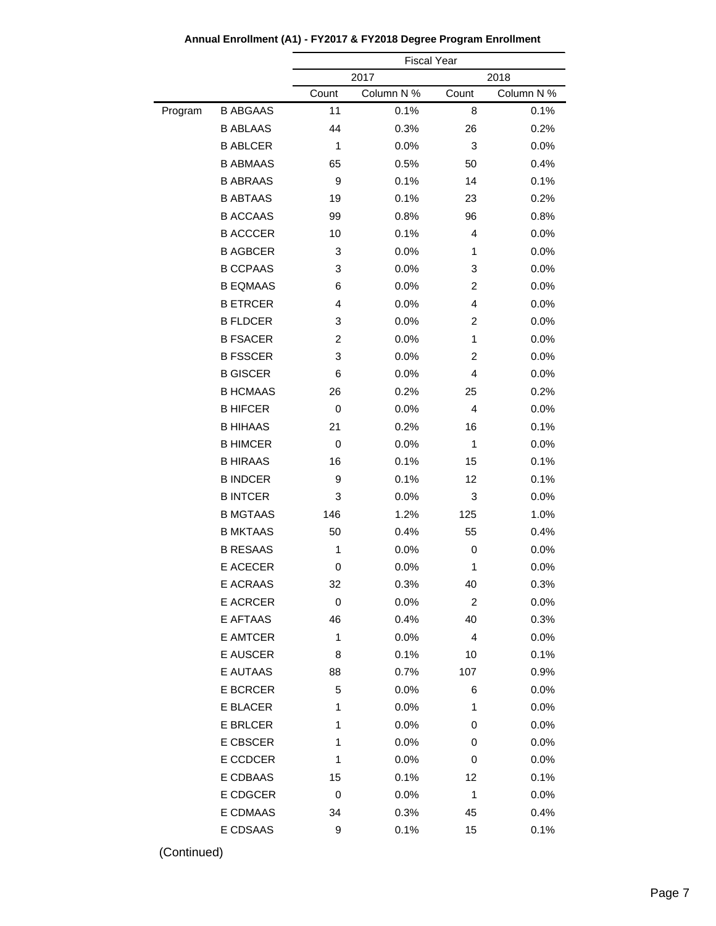|         |                 |                  | <b>Fiscal Year</b> |                |            |
|---------|-----------------|------------------|--------------------|----------------|------------|
|         |                 |                  | 2017               |                | 2018       |
|         |                 | Count            | Column N %         | Count          | Column N % |
| Program | <b>B ABGAAS</b> | 11               | 0.1%               | 8              | 0.1%       |
|         | <b>B ABLAAS</b> | 44               | 0.3%               | 26             | 0.2%       |
|         | <b>B ABLCER</b> | 1                | 0.0%               | 3              | 0.0%       |
|         | <b>B ABMAAS</b> | 65               | 0.5%               | 50             | 0.4%       |
|         | <b>B ABRAAS</b> | 9                | 0.1%               | 14             | 0.1%       |
|         | <b>B ABTAAS</b> | 19               | 0.1%               | 23             | 0.2%       |
|         | <b>B ACCAAS</b> | 99               | 0.8%               | 96             | 0.8%       |
|         | <b>B ACCCER</b> | 10               | 0.1%               | 4              | 0.0%       |
|         | <b>B AGBCER</b> | 3                | 0.0%               | 1              | 0.0%       |
|         | <b>B CCPAAS</b> | 3                | 0.0%               | 3              | 0.0%       |
|         | <b>B EQMAAS</b> | 6                | 0.0%               | 2              | 0.0%       |
|         | <b>B ETRCER</b> | 4                | 0.0%               | 4              | 0.0%       |
|         | <b>B FLDCER</b> | 3                | 0.0%               | 2              | 0.0%       |
|         | <b>B FSACER</b> | $\overline{c}$   | 0.0%               | 1              | 0.0%       |
|         | <b>B FSSCER</b> | 3                | 0.0%               | 2              | 0.0%       |
|         | <b>B GISCER</b> | 6                | 0.0%               | 4              | 0.0%       |
|         | <b>B HCMAAS</b> | 26               | 0.2%               | 25             | 0.2%       |
|         | <b>B HIFCER</b> | 0                | 0.0%               | 4              | 0.0%       |
|         | <b>B HIHAAS</b> | 21               | 0.2%               | 16             | 0.1%       |
|         | <b>B HIMCER</b> | 0                | 0.0%               | 1              | 0.0%       |
|         | <b>B HIRAAS</b> | 16               | 0.1%               | 15             | 0.1%       |
|         | <b>B INDCER</b> | 9                | 0.1%               | 12             | 0.1%       |
|         | <b>B INTCER</b> | 3                | 0.0%               | 3              | 0.0%       |
|         | <b>B MGTAAS</b> | 146              | 1.2%               | 125            | 1.0%       |
|         | <b>B MKTAAS</b> | 50               | 0.4%               | 55             | 0.4%       |
|         | <b>B RESAAS</b> | 1                | 0.0%               | 0              | 0.0%       |
|         | E ACECER        | 0                | 0.0%               | 1              | 0.0%       |
|         | E ACRAAS        | 32               | 0.3%               | 40             | 0.3%       |
|         | E ACRCER        | $\boldsymbol{0}$ | 0.0%               | $\overline{c}$ | 0.0%       |
|         | <b>E AFTAAS</b> | 46               | 0.4%               | 40             | 0.3%       |
|         | E AMTCER        | 1                | 0.0%               | $\overline{4}$ | 0.0%       |
|         | <b>E AUSCER</b> | 8                | 0.1%               | 10             | 0.1%       |
|         | E AUTAAS        | 88               | 0.7%               | 107            | 0.9%       |
|         | <b>E BCRCER</b> | 5                | 0.0%               | 6              | 0.0%       |
|         | E BLACER        | 1                | 0.0%               | 1              | 0.0%       |
|         | <b>E BRLCER</b> | 1                | 0.0%               | 0              | 0.0%       |
|         | E CBSCER        | 1                | 0.0%               | 0              | 0.0%       |
|         | E CCDCER        | 1                | 0.0%               | 0              | 0.0%       |
|         | E CDBAAS        | 15               | 0.1%               | 12             | 0.1%       |
|         | E CDGCER        | 0                | 0.0%               | 1              | 0.0%       |
|         | E CDMAAS        | 34               | 0.3%               | 45             | 0.4%       |
|         | E CDSAAS        | 9                | 0.1%               | 15             | 0.1%       |
|         |                 |                  |                    |                |            |

**Annual Enrollment (A1) - FY2017 & FY2018 Degree Program Enrollment**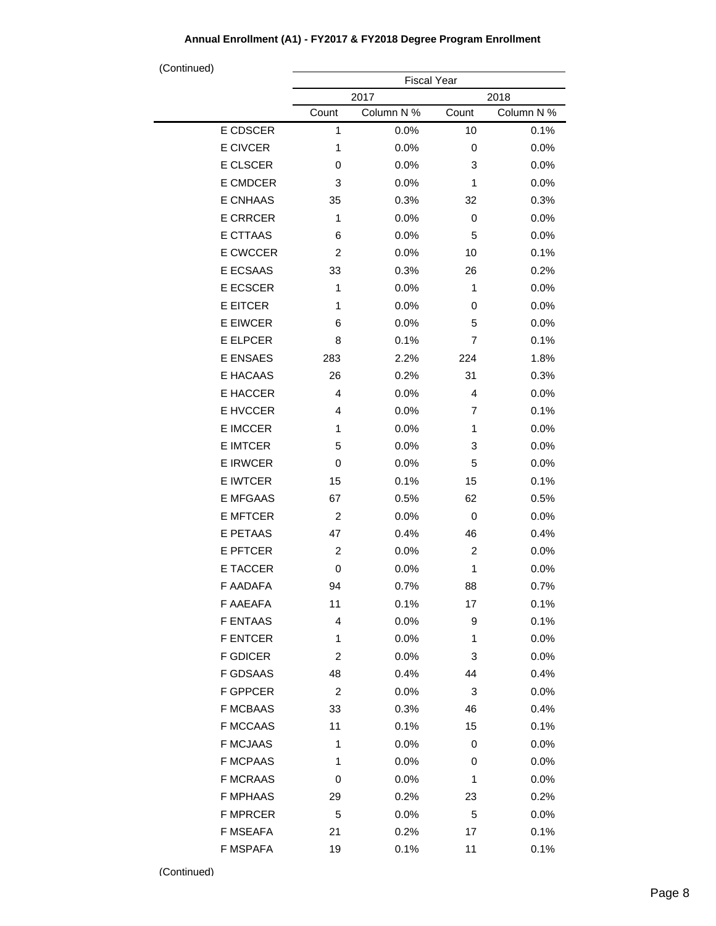| (Continued)     |                    |                    |             |                    |  |  |
|-----------------|--------------------|--------------------|-------------|--------------------|--|--|
|                 | <b>Fiscal Year</b> |                    |             |                    |  |  |
|                 |                    | 2017               |             | 2018               |  |  |
| E CDSCER        | Count<br>1         | Column N %<br>0.0% | Count<br>10 | Column N %<br>0.1% |  |  |
| E CIVCER        | 1                  | 0.0%               | 0           |                    |  |  |
|                 |                    |                    |             | 0.0%               |  |  |
| E CLSCER        | 0                  | 0.0%               | 3           | 0.0%               |  |  |
| E CMDCER        | 3                  | 0.0%               | 1           | 0.0%               |  |  |
| E CNHAAS        | 35                 | 0.3%               | 32          | 0.3%               |  |  |
| <b>E CRRCER</b> | 1                  | 0.0%               | 0           | 0.0%               |  |  |
| E CTTAAS        | 6                  | 0.0%               | 5           | 0.0%               |  |  |
| E CWCCER        | $\overline{c}$     | 0.0%               | 10          | 0.1%               |  |  |
| E ECSAAS        | 33                 | 0.3%               | 26          | 0.2%               |  |  |
| E ECSCER        | 1                  | 0.0%               | 1           | 0.0%               |  |  |
| <b>E EITCER</b> | 1                  | 0.0%               | 0           | 0.0%               |  |  |
| <b>E EIWCER</b> | 6                  | 0.0%               | 5           | 0.0%               |  |  |
| <b>E ELPCER</b> | 8                  | 0.1%               | 7           | 0.1%               |  |  |
| E ENSAES        | 283                | 2.2%               | 224         | 1.8%               |  |  |
| E HACAAS        | 26                 | 0.2%               | 31          | 0.3%               |  |  |
| E HACCER        | $\overline{4}$     | 0.0%               | 4           | 0.0%               |  |  |
| E HVCCER        | 4                  | 0.0%               | 7           | 0.1%               |  |  |
| <b>E IMCCER</b> | 1                  | 0.0%               | 1           | 0.0%               |  |  |
| <b>E IMTCER</b> | 5                  | 0.0%               | 3           | 0.0%               |  |  |
| <b>E IRWCER</b> | 0                  | 0.0%               | 5           | 0.0%               |  |  |
| <b>E IWTCER</b> | 15                 | 0.1%               | 15          | 0.1%               |  |  |
| E MFGAAS        | 67                 | 0.5%               | 62          | 0.5%               |  |  |
| <b>E MFTCER</b> | 2                  | 0.0%               | 0           | 0.0%               |  |  |
| E PETAAS        | 47                 | 0.4%               | 46          | 0.4%               |  |  |
| <b>E PFTCER</b> | $\overline{c}$     | 0.0%               | 2           | 0.0%               |  |  |
| E TACCER        | 0                  | 0.0%               | 1           | 0.0%               |  |  |
| F AADAFA        | 94                 | 0.7%               | 88          | 0.7%               |  |  |
| F AAEAFA        | 11                 | 0.1%               | 17          | 0.1%               |  |  |
| <b>F ENTAAS</b> | 4                  | 0.0%               | 9           | 0.1%               |  |  |
| <b>F ENTCER</b> | 1                  | 0.0%               | 1           | 0.0%               |  |  |
| <b>F GDICER</b> | 2                  | 0.0%               | 3           | 0.0%               |  |  |
| <b>F GDSAAS</b> | 48                 | 0.4%               | 44          | 0.4%               |  |  |
| <b>F GPPCER</b> | 2                  | 0.0%               | 3           | 0.0%               |  |  |
| <b>F MCBAAS</b> | 33                 | 0.3%               | 46          | 0.4%               |  |  |
| <b>F MCCAAS</b> | 11                 | 0.1%               | 15          | 0.1%               |  |  |
| <b>F MCJAAS</b> | 1                  | 0.0%               | 0           | 0.0%               |  |  |
| <b>F MCPAAS</b> | 1                  | 0.0%               | 0           | 0.0%               |  |  |
| <b>F MCRAAS</b> | 0                  | 0.0%               | 1           | 0.0%               |  |  |
| <b>F MPHAAS</b> | 29                 | 0.2%               | 23          | 0.2%               |  |  |
| <b>F MPRCER</b> | 5                  | 0.0%               | 5           | 0.0%               |  |  |
| <b>F MSEAFA</b> | 21                 | 0.2%               | 17          | 0.1%               |  |  |
| F MSPAFA        | 19                 | 0.1%               | 11          | 0.1%               |  |  |

## **Annual Enrollment (A1) - FY2017 & FY2018 Degree Program Enrollment**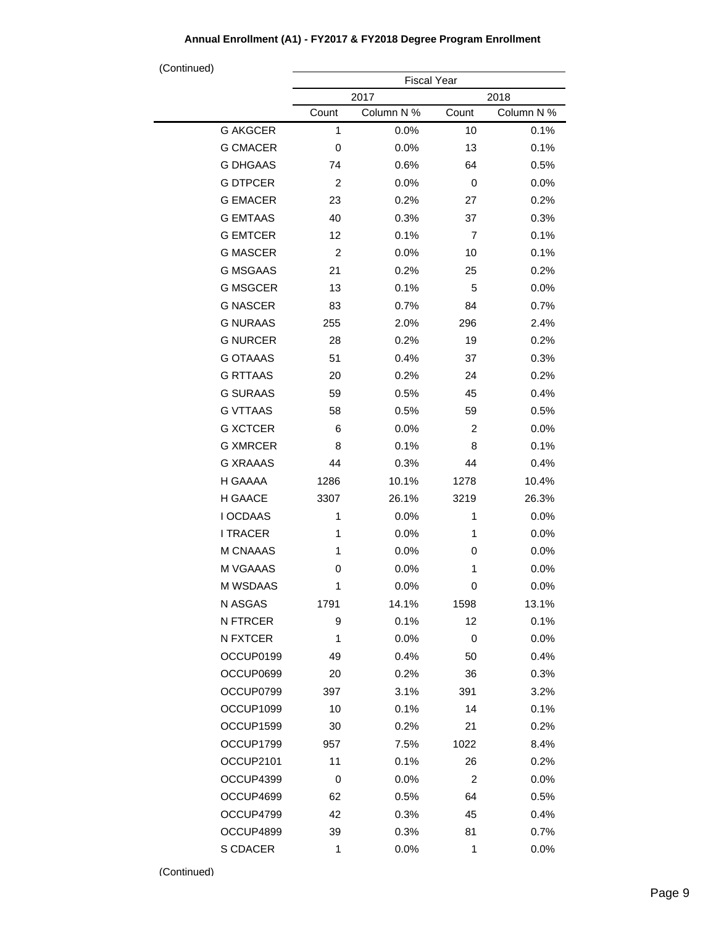#### Fiscal Year 2017 2018 Count Column N % Count Column N % G AKGCER G CMACER G DHGAAS G DTPCER G EMACER G EMTAAS G EMTCER G MASCER G MSGAAS G MSGCER G NASCER G NURAAS G NURCER G OTAAAS G RTTAAS G SURAAS G VTTAAS G XCTCER G XMRCER G XRAAAS H GAAAA H GAACE I OCDAAS I TRACER M CNAAAS M VGAAAS M WSDAAS N ASGAS N FTRCER N FXTCER OCCUP0199 OCCUP0699 OCCUP0799 1 0.0% 10 0.1% 0 0.0% 13 0.1% 74 0.6% 64 0.5% 2 0.0% 0 0.0% 23 0.2% 27 0.2% 40 0.3% 37 0.3% 12 0.1% 7 0.1% 2 0.0% 10 0.1% 21 0.2% 25 0.2% 13 0.1% 5 0.0% 83 0.7% 84 0.7% 255 2.0% 296 2.4% 28 0.2% 19 0.2% 51 0.4% 37 0.3% 20 0.2% 24 0.2% 59 0.5% 45 0.4% 58 0.5% 59 0.5% 6 0.0% 2 0.0% 8 0.1% 8 0.1% 44 0.3% 44 0.4% 1286 10.1% 1278 10.4% 3307 26.1% 3219 26.3% 1 0.0% 1 0.0% 1 0.0% 1 0.0% 1 0.0% 0 0.0% 0 0.0% 1 0.0% 1 0.0% 0 0.0% 1791 14.1% 1598 13.1% 9 0.1% 12 0.1% 1 0.0% 0 0.0% 49 0.4% 50 0.4% 20 0.2% 36 0.3% 397 3.1% 391 3.2% (Continued)

10 0.1% 14 0.1% 30 0.2% 21 0.2% 957 7.5% 1022 8.4% 11 0.1% 26 0.2% 0 0.0% 2 0.0% 62 0.5% 64 0.5% 42 0.3% 45 0.4% 39 0.3% 81 0.7% 1 0.0% 1 0.0%

#### **Annual Enrollment (A1) - FY2017 & FY2018 Degree Program Enrollment**

OCCUP1099 OCCUP1599 OCCUP1799 OCCUP2101 OCCUP4399 OCCUP4699 OCCUP4799 OCCUP4899 S CDACER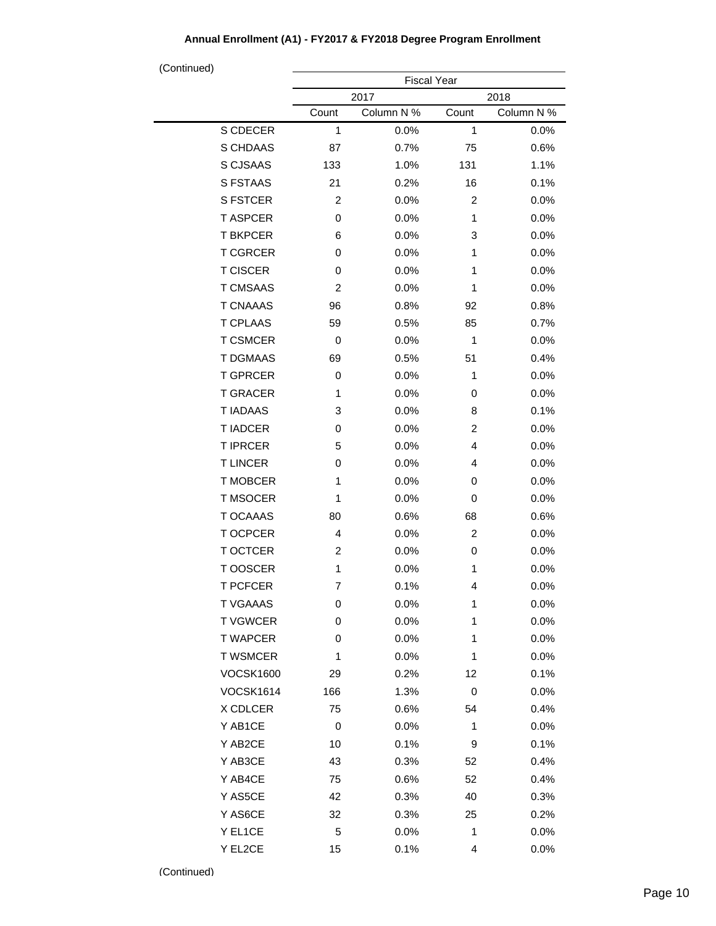| (Continued)      |                    |            |                |            |  |  |
|------------------|--------------------|------------|----------------|------------|--|--|
|                  | <b>Fiscal Year</b> |            |                |            |  |  |
|                  |                    | 2017       |                | 2018       |  |  |
|                  | Count              | Column N % | Count          | Column N % |  |  |
| S CDECER         | 1                  | 0.0%       | 1              | 0.0%       |  |  |
| S CHDAAS         | 87                 | 0.7%       | 75             | 0.6%       |  |  |
| S CJSAAS         | 133                | 1.0%       | 131            | 1.1%       |  |  |
| S FSTAAS         | 21                 | 0.2%       | 16             | 0.1%       |  |  |
| <b>S FSTCER</b>  | $\overline{c}$     | 0.0%       | 2              | 0.0%       |  |  |
| <b>T ASPCER</b>  | 0                  | 0.0%       | 1              | 0.0%       |  |  |
| <b>T BKPCER</b>  | 6                  | 0.0%       | 3              | 0.0%       |  |  |
| <b>T CGRCER</b>  | 0                  | 0.0%       | 1              | 0.0%       |  |  |
| <b>T CISCER</b>  | 0                  | 0.0%       | 1              | 0.0%       |  |  |
| <b>T CMSAAS</b>  | $\overline{c}$     | 0.0%       | 1              | 0.0%       |  |  |
| <b>T CNAAAS</b>  | 96                 | 0.8%       | 92             | 0.8%       |  |  |
| <b>T CPLAAS</b>  | 59                 | 0.5%       | 85             | 0.7%       |  |  |
| <b>T CSMCER</b>  | 0                  | 0.0%       | 1              | 0.0%       |  |  |
| <b>T DGMAAS</b>  | 69                 | 0.5%       | 51             | 0.4%       |  |  |
| <b>T GPRCER</b>  | 0                  | 0.0%       | 1              | 0.0%       |  |  |
| <b>T GRACER</b>  | 1                  | 0.0%       | 0              | 0.0%       |  |  |
| <b>T IADAAS</b>  | 3                  | 0.0%       | 8              | 0.1%       |  |  |
| <b>T IADCER</b>  | 0                  | 0.0%       | $\overline{c}$ | 0.0%       |  |  |
| <b>T IPRCER</b>  | 5                  | 0.0%       | 4              | 0.0%       |  |  |
| <b>TLINCER</b>   | 0                  | 0.0%       | 4              | 0.0%       |  |  |
| <b>T MOBCER</b>  | 1                  | 0.0%       | 0              | 0.0%       |  |  |
| <b>T MSOCER</b>  | 1                  | 0.0%       | 0              | 0.0%       |  |  |
| <b>T OCAAAS</b>  | 80                 | 0.6%       | 68             | 0.6%       |  |  |
| T OCPCER         | $\overline{4}$     | 0.0%       | $\overline{c}$ | 0.0%       |  |  |
| <b>T OCTCER</b>  | $\overline{c}$     | 0.0%       | 0              | 0.0%       |  |  |
| T OOSCER         | 1                  | 0.0%       | 1              | 0.0%       |  |  |
| T PCFCER         | 7                  | 0.1%       | 4              | 0.0%       |  |  |
| <b>T VGAAAS</b>  | 0                  | 0.0%       | 1              | 0.0%       |  |  |
| <b>TVGWCER</b>   | 0                  | 0.0%       | 1              | 0.0%       |  |  |
| <b>T WAPCER</b>  | 0                  | 0.0%       | 1              | 0.0%       |  |  |
| <b>T WSMCER</b>  | 1                  | 0.0%       | 1              | 0.0%       |  |  |
| <b>VOCSK1600</b> | 29                 | 0.2%       | 12             | 0.1%       |  |  |
| <b>VOCSK1614</b> | 166                | 1.3%       | 0              | 0.0%       |  |  |
| X CDLCER         | 75                 | 0.6%       | 54             | 0.4%       |  |  |
| Y AB1CE          | 0                  | 0.0%       | 1              | 0.0%       |  |  |
| Y AB2CE          | 10                 | 0.1%       | 9              | 0.1%       |  |  |
| Y AB3CE          | 43                 | 0.3%       | 52             | 0.4%       |  |  |
| Y AB4CE          | 75                 | 0.6%       | 52             | 0.4%       |  |  |
| Y AS5CE          | 42                 | 0.3%       | 40             | 0.3%       |  |  |
| Y AS6CE          | 32                 | 0.3%       | 25             | 0.2%       |  |  |
| Y EL1CE          | 5                  | 0.0%       | 1              | 0.0%       |  |  |
| Y EL2CE          | 15                 | 0.1%       | 4              | 0.0%       |  |  |
|                  |                    |            |                |            |  |  |

## **Annual Enrollment (A1) - FY2017 & FY2018 Degree Program Enrollment**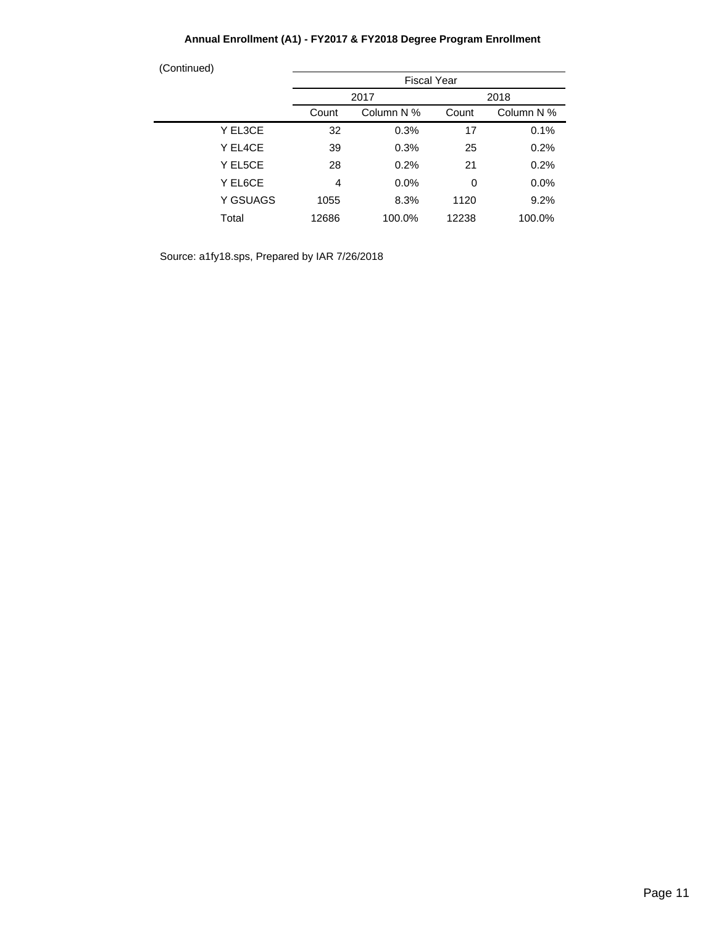## **Annual Enrollment (A1) - FY2017 & FY2018 Degree Program Enrollment**

| (Continued) |          |                                            |                    |       |        |
|-------------|----------|--------------------------------------------|--------------------|-------|--------|
|             |          |                                            | <b>Fiscal Year</b> |       |        |
|             |          |                                            | 2017               |       | 2018   |
|             |          | Column N %<br>Column N %<br>Count<br>Count |                    |       |        |
|             | Y EL3CE  | 32                                         | 0.3%               | 17    | 0.1%   |
|             | Y EL4CE  | 39                                         | 0.3%               | 25    | 0.2%   |
|             | Y EL5CE  | 28                                         | 0.2%               | 21    | 0.2%   |
|             | Y EL6CE  | 4                                          | 0.0%               | 0     | 0.0%   |
|             | Y GSUAGS | 1055                                       | 8.3%               | 1120  | 9.2%   |
|             | Total    | 12686                                      | 100.0%             | 12238 | 100.0% |
|             |          |                                            |                    |       |        |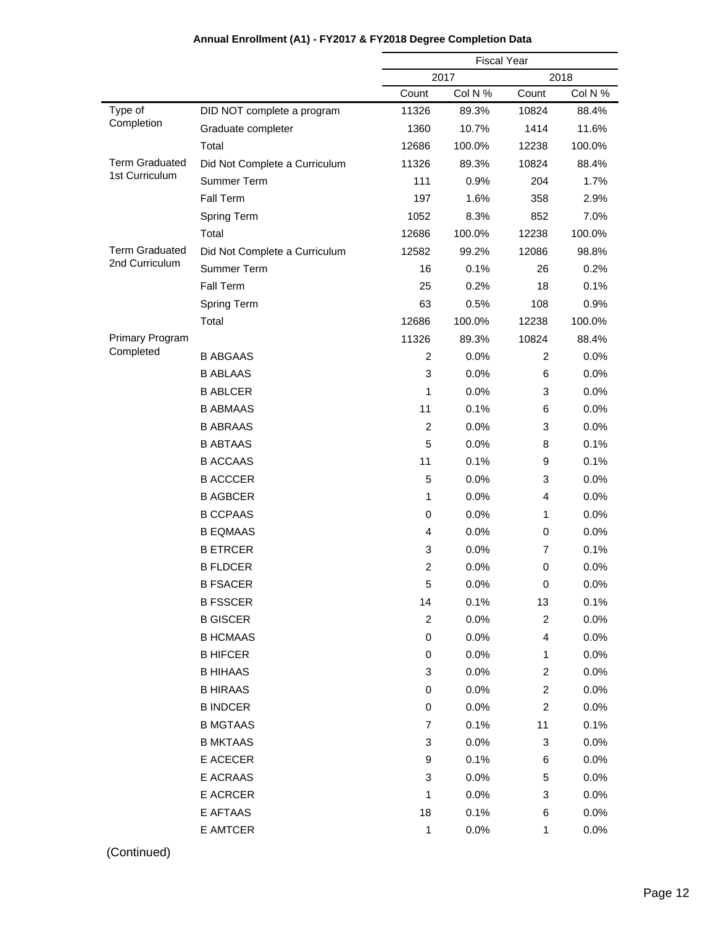|                        |                               | <b>Fiscal Year</b> |         |                         |         |
|------------------------|-------------------------------|--------------------|---------|-------------------------|---------|
|                        |                               |                    | 2017    |                         | 2018    |
|                        |                               | Count              | Col N % | Count                   | Col N % |
| Type of                | DID NOT complete a program    | 11326              | 89.3%   | 10824                   | 88.4%   |
| Completion             | Graduate completer            | 1360               | 10.7%   | 1414                    | 11.6%   |
|                        | Total                         | 12686              | 100.0%  | 12238                   | 100.0%  |
| <b>Term Graduated</b>  | Did Not Complete a Curriculum | 11326              | 89.3%   | 10824                   | 88.4%   |
| 1st Curriculum         | Summer Term                   | 111                | 0.9%    | 204                     | 1.7%    |
|                        | <b>Fall Term</b>              | 197                | 1.6%    | 358                     | 2.9%    |
|                        | Spring Term                   | 1052               | 8.3%    | 852                     | 7.0%    |
|                        | Total                         | 12686              | 100.0%  | 12238                   | 100.0%  |
| <b>Term Graduated</b>  | Did Not Complete a Curriculum | 12582              | 99.2%   | 12086                   | 98.8%   |
| 2nd Curriculum         | Summer Term                   | 16                 | 0.1%    | 26                      | 0.2%    |
|                        | <b>Fall Term</b>              | 25                 | 0.2%    | 18                      | 0.1%    |
|                        | Spring Term                   | 63                 | 0.5%    | 108                     | 0.9%    |
|                        | Total                         | 12686              | 100.0%  | 12238                   | 100.0%  |
| <b>Primary Program</b> |                               | 11326              | 89.3%   | 10824                   | 88.4%   |
| Completed              | <b>B ABGAAS</b>               | 2                  | 0.0%    | $\overline{c}$          | 0.0%    |
|                        | <b>B ABLAAS</b>               | 3                  | 0.0%    | 6                       | 0.0%    |
|                        | <b>B ABLCER</b>               | 1                  | 0.0%    | 3                       | 0.0%    |
|                        | <b>B ABMAAS</b>               | 11                 | 0.1%    | 6                       | 0.0%    |
|                        | <b>B ABRAAS</b>               | 2                  | 0.0%    | 3                       | 0.0%    |
|                        | <b>B ABTAAS</b>               | 5                  | 0.0%    | 8                       | 0.1%    |
|                        | <b>B ACCAAS</b>               | 11                 | 0.1%    | 9                       | 0.1%    |
|                        | <b>B ACCCER</b>               | 5                  | 0.0%    | 3                       | 0.0%    |
|                        | <b>B AGBCER</b>               | 1                  | 0.0%    | 4                       | 0.0%    |
|                        | <b>B CCPAAS</b>               | 0                  | 0.0%    | 1                       | 0.0%    |
|                        | <b>B EQMAAS</b>               | 4                  | 0.0%    | 0                       | 0.0%    |
|                        | <b>BETRCER</b>                | 3                  | 0.0%    | 7                       | 0.1%    |
|                        | <b>B FLDCER</b>               | $\overline{c}$     | 0.0%    | 0                       | 0.0%    |
|                        | <b>B FSACER</b>               | 5                  | 0.0%    | 0                       | 0.0%    |
|                        | <b>B FSSCER</b>               | 14                 | 0.1%    | 13                      | 0.1%    |
|                        | <b>B GISCER</b>               | $\overline{c}$     | 0.0%    | $\overline{c}$          | 0.0%    |
|                        | <b>B HCMAAS</b>               | 0                  | 0.0%    | 4                       | 0.0%    |
|                        | <b>B HIFCER</b>               | 0                  | 0.0%    | 1                       | 0.0%    |
|                        | <b>B HIHAAS</b>               | 3                  | 0.0%    | $\overline{\mathbf{c}}$ | 0.0%    |
|                        | <b>B HIRAAS</b>               | 0                  | 0.0%    | $\overline{c}$          | 0.0%    |
|                        | <b>B INDCER</b>               | 0                  | 0.0%    | $\overline{c}$          | 0.0%    |
|                        | <b>B MGTAAS</b>               | 7                  | 0.1%    | 11                      | 0.1%    |
|                        | <b>B MKTAAS</b>               | 3                  | 0.0%    | 3                       | 0.0%    |
|                        | E ACECER                      | 9                  | 0.1%    | 6                       | 0.0%    |
|                        | E ACRAAS                      | 3                  | 0.0%    | 5                       | 0.0%    |
|                        | E ACRCER                      | 1                  | 0.0%    | 3                       | 0.0%    |
|                        | E AFTAAS                      | 18                 | 0.1%    | 6                       | 0.0%    |
|                        | E AMTCER                      | 1                  | 0.0%    | 1                       | 0.0%    |
|                        |                               |                    |         |                         |         |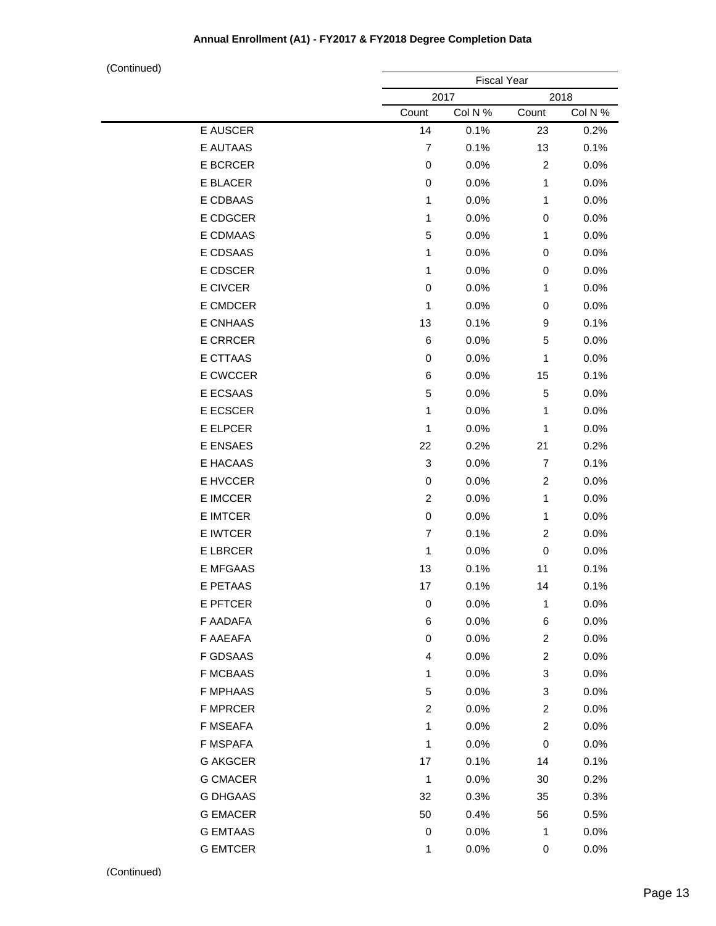|                 |                           | <b>Fiscal Year</b> |                         |         |
|-----------------|---------------------------|--------------------|-------------------------|---------|
|                 |                           | 2017               |                         | 2018    |
|                 | Count                     | Col N %            | Count                   | Col N % |
| E AUSCER        | 14                        | 0.1%               | 23                      | 0.2%    |
| E AUTAAS        | $\overline{7}$            | 0.1%               | 13                      | 0.1%    |
| E BCRCER        | 0                         | 0.0%               | 2                       | 0.0%    |
| E BLACER        | 0                         | 0.0%               | 1                       | 0.0%    |
| E CDBAAS        | 1                         | 0.0%               | 1                       | 0.0%    |
| E CDGCER        | 1                         | 0.0%               | $\,0\,$                 | 0.0%    |
| E CDMAAS        | 5                         | 0.0%               | 1                       | 0.0%    |
| E CDSAAS        | 1                         | 0.0%               | $\mathbf 0$             | 0.0%    |
| E CDSCER        | 1                         | 0.0%               | 0                       | 0.0%    |
| E CIVCER        | 0                         | 0.0%               | 1                       | 0.0%    |
| E CMDCER        | 1                         | 0.0%               | 0                       | 0.0%    |
| E CNHAAS        | 13                        | 0.1%               | 9                       | 0.1%    |
| <b>E CRRCER</b> | 6                         | 0.0%               | 5                       | 0.0%    |
| E CTTAAS        | 0                         | 0.0%               | 1                       | 0.0%    |
| E CWCCER        | 6                         | 0.0%               | 15                      | 0.1%    |
| E ECSAAS        | 5                         | 0.0%               | 5                       | 0.0%    |
| E ECSCER        | 1                         | 0.0%               | 1                       | 0.0%    |
| E ELPCER        | 1                         | 0.0%               | 1                       | 0.0%    |
| E ENSAES        | 22                        | 0.2%               | 21                      | 0.2%    |
| E HACAAS        | $\ensuremath{\mathsf{3}}$ | 0.0%               | $\overline{7}$          | 0.1%    |
| E HVCCER        | $\pmb{0}$                 | 0.0%               | $\overline{c}$          | 0.0%    |
| E IMCCER        | $\overline{c}$            | 0.0%               | 1                       | 0.0%    |
| E IMTCER        | $\mathbf 0$               | 0.0%               | 1                       | 0.0%    |
| E IWTCER        | $\overline{7}$            | 0.1%               | $\overline{c}$          | 0.0%    |
| <b>E LBRCER</b> | 1                         | 0.0%               | $\pmb{0}$               | 0.0%    |
| <b>E MFGAAS</b> | 13                        | 0.1%               | 11                      | 0.1%    |
| E PETAAS        | 17                        | 0.1%               | 14                      | 0.1%    |
| E PFTCER        | 0                         | 0.0%               | 1                       | 0.0%    |
| F AADAFA        | 6                         | 0.0%               | 6                       | 0.0%    |
| F AAEAFA        | 0                         | 0.0%               | $\overline{\mathbf{c}}$ | 0.0%    |
| <b>F GDSAAS</b> | 4                         | 0.0%               | 2                       | 0.0%    |
| <b>F MCBAAS</b> | 1                         | 0.0%               | 3                       | 0.0%    |
| <b>F MPHAAS</b> | 5                         | 0.0%               | 3                       | 0.0%    |
| F MPRCER        | $\overline{\mathbf{c}}$   | 0.0%               | 2                       | 0.0%    |
| F MSEAFA        | 1                         | 0.0%               | 2                       | 0.0%    |
| F MSPAFA        | 1                         | 0.0%               | $\,0\,$                 | 0.0%    |
| <b>G AKGCER</b> | 17                        | 0.1%               | 14                      | 0.1%    |
| <b>G CMACER</b> | 1                         | 0.0%               | 30                      | 0.2%    |
| <b>G DHGAAS</b> | 32                        | 0.3%               | 35                      | 0.3%    |
| <b>G EMACER</b> | 50                        | 0.4%               | 56                      | 0.5%    |
| <b>G EMTAAS</b> | 0                         | 0.0%               | 1                       | 0.0%    |
| <b>G EMTCER</b> | 1                         | 0.0%               | 0                       | 0.0%    |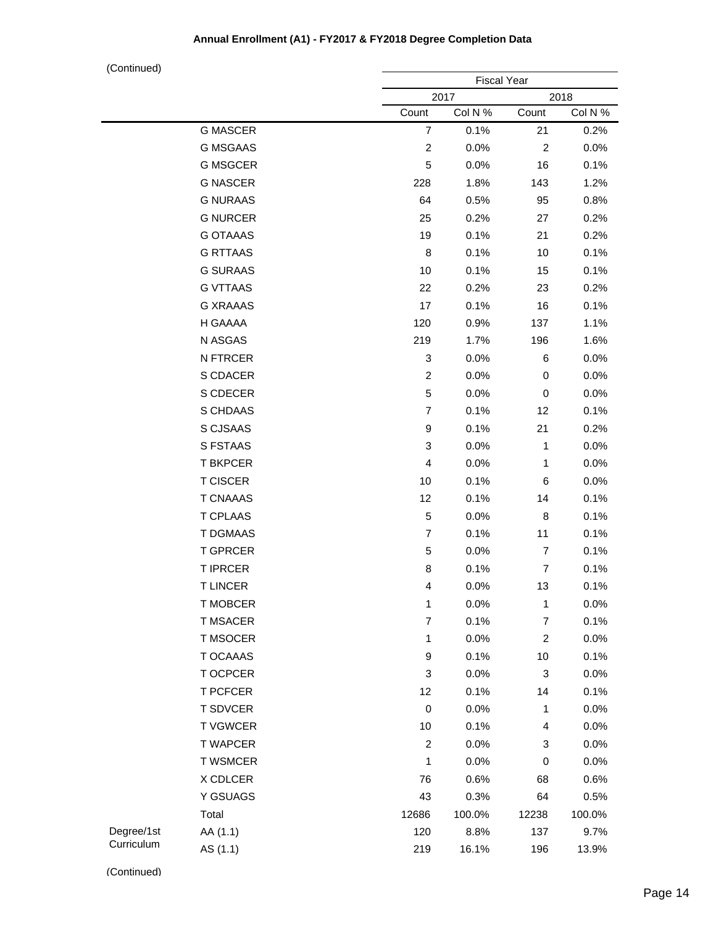(Continued)

| $\sqrt{2}$ |                 |                           | <b>Fiscal Year</b> |                |         |  |  |
|------------|-----------------|---------------------------|--------------------|----------------|---------|--|--|
|            |                 |                           | 2017<br>2018       |                |         |  |  |
|            |                 | Count                     | Col N %            | Count          | Col N % |  |  |
|            | <b>G MASCER</b> | $\overline{7}$            | 0.1%               | 21             | 0.2%    |  |  |
|            | <b>G MSGAAS</b> | $\boldsymbol{2}$          | 0.0%               | $\overline{c}$ | 0.0%    |  |  |
|            | <b>G MSGCER</b> | 5                         | 0.0%               | 16             | 0.1%    |  |  |
|            | <b>G NASCER</b> | 228                       | 1.8%               | 143            | 1.2%    |  |  |
|            | <b>G NURAAS</b> | 64                        | 0.5%               | 95             | 0.8%    |  |  |
|            | <b>G NURCER</b> | 25                        | 0.2%               | 27             | 0.2%    |  |  |
|            | <b>G OTAAAS</b> | 19                        | 0.1%               | 21             | 0.2%    |  |  |
|            | <b>G RTTAAS</b> | 8                         | 0.1%               | 10             | 0.1%    |  |  |
|            | <b>G SURAAS</b> | 10                        | 0.1%               | 15             | 0.1%    |  |  |
|            | <b>G VTTAAS</b> | 22                        | 0.2%               | 23             | 0.2%    |  |  |
|            | <b>G XRAAAS</b> | 17                        | 0.1%               | 16             | 0.1%    |  |  |
|            | H GAAAA         | 120                       | 0.9%               | 137            | 1.1%    |  |  |
|            | N ASGAS         | 219                       | 1.7%               | 196            | 1.6%    |  |  |
|            | N FTRCER        | $\ensuremath{\mathsf{3}}$ | 0.0%               | 6              | 0.0%    |  |  |
|            | S CDACER        | $\overline{2}$            | 0.0%               | 0              | 0.0%    |  |  |
|            | S CDECER        | $\mathbf 5$               | 0.0%               | $\,0\,$        | 0.0%    |  |  |
|            | S CHDAAS        | $\overline{7}$            | 0.1%               | 12             | 0.1%    |  |  |
|            | S CJSAAS        | 9                         | 0.1%               | 21             | 0.2%    |  |  |
|            | S FSTAAS        | $\ensuremath{\mathsf{3}}$ | 0.0%               | 1              | 0.0%    |  |  |
|            | <b>T BKPCER</b> | $\overline{\mathbf{4}}$   | 0.0%               | $\mathbf{1}$   | 0.0%    |  |  |
|            | <b>T CISCER</b> | 10                        | 0.1%               | 6              | 0.0%    |  |  |
|            | <b>T CNAAAS</b> | 12                        | 0.1%               | 14             | 0.1%    |  |  |
|            | <b>T CPLAAS</b> | 5                         | 0.0%               | 8              | 0.1%    |  |  |
|            | T DGMAAS        | $\overline{7}$            | 0.1%               | 11             | 0.1%    |  |  |
|            | <b>T GPRCER</b> | 5                         | 0.0%               | $\overline{7}$ | 0.1%    |  |  |
|            | <b>T IPRCER</b> | 8                         | 0.1%               | $\overline{7}$ | 0.1%    |  |  |
|            | <b>TLINCER</b>  | 4                         | 0.0%               | 13             | 0.1%    |  |  |
|            | <b>T MOBCER</b> | $\mathbf{1}$              | 0.0%               | 1              | 0.0%    |  |  |
|            | <b>T MSACER</b> | $\overline{\mathbf{7}}$   | 0.1%               | 7              | 0.1%    |  |  |
|            | T MSOCER        | 1                         | 0.0%               | $\overline{c}$ | 0.0%    |  |  |
|            | T OCAAAS        | 9                         | 0.1%               | $10$           | 0.1%    |  |  |
|            | T OCPCER        | $\ensuremath{\mathsf{3}}$ | 0.0%               | 3              | 0.0%    |  |  |
|            | <b>T PCFCER</b> | 12                        | 0.1%               | 14             | 0.1%    |  |  |
|            | <b>T SDVCER</b> | $\mathbf 0$               | 0.0%               | $\mathbf{1}$   | 0.0%    |  |  |
|            | <b>TVGWCER</b>  | 10                        | 0.1%               | 4              | 0.0%    |  |  |
|            | <b>T WAPCER</b> | $\overline{c}$            | 0.0%               | 3              | 0.0%    |  |  |
|            | <b>T WSMCER</b> | 1                         | 0.0%               | 0              | 0.0%    |  |  |
|            | X CDLCER        | 76                        | 0.6%               | 68             | 0.6%    |  |  |
|            | Y GSUAGS        | 43                        | 0.3%               | 64             | 0.5%    |  |  |
|            | Total           | 12686                     | 100.0%             | 12238          | 100.0%  |  |  |
| Degree/1st | AA (1.1)        | 120                       | 8.8%               | 137            | 9.7%    |  |  |
| Curriculum | AS (1.1)        | 219                       | 16.1%              | 196            | 13.9%   |  |  |
|            |                 |                           |                    |                |         |  |  |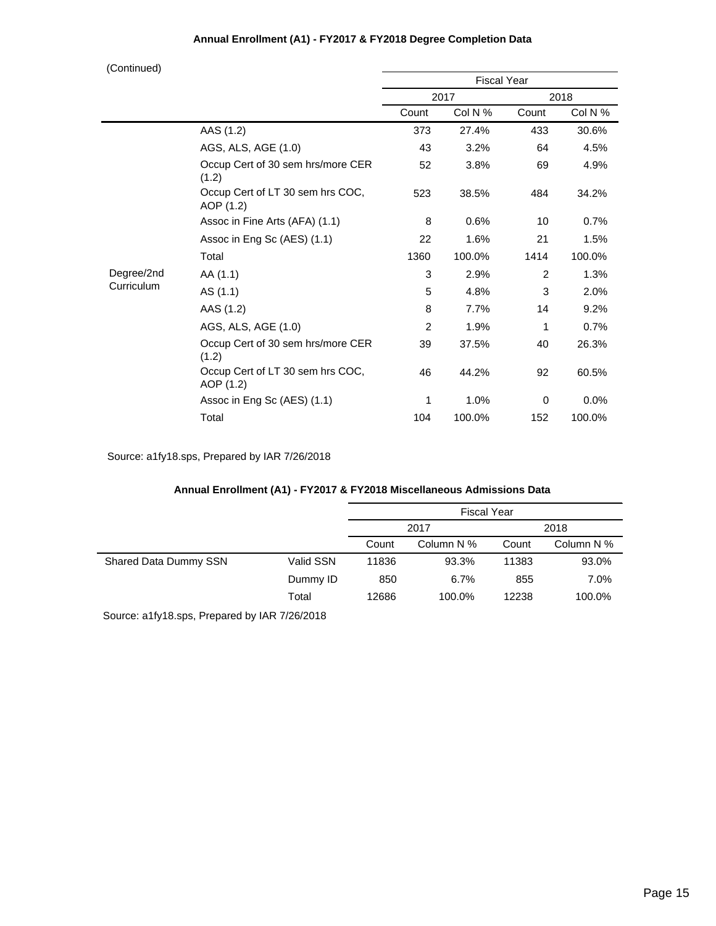| (Continued) |  |
|-------------|--|
|             |  |

| 100111110007 |                                               | <b>Fiscal Year</b> |         |       |         |
|--------------|-----------------------------------------------|--------------------|---------|-------|---------|
|              |                                               | 2017               |         | 2018  |         |
|              |                                               | Count              | Col N % | Count | Col N % |
|              | AAS (1.2)                                     | 373                | 27.4%   | 433   | 30.6%   |
|              | AGS, ALS, AGE (1.0)                           | 43                 | 3.2%    | 64    | 4.5%    |
|              | Occup Cert of 30 sem hrs/more CER<br>(1.2)    | 52                 | 3.8%    | 69    | 4.9%    |
|              | Occup Cert of LT 30 sem hrs COC,<br>AOP (1.2) | 523                | 38.5%   | 484   | 34.2%   |
|              | Assoc in Fine Arts (AFA) (1.1)                | 8                  | 0.6%    | 10    | 0.7%    |
|              | Assoc in Eng Sc (AES) (1.1)                   | 22                 | 1.6%    | 21    | 1.5%    |
|              | Total                                         | 1360               | 100.0%  | 1414  | 100.0%  |
| Degree/2nd   | AA (1.1)                                      | 3                  | 2.9%    | 2     | 1.3%    |
| Curriculum   | AS (1.1)                                      | 5                  | 4.8%    | 3     | 2.0%    |
|              | AAS (1.2)                                     | 8                  | 7.7%    | 14    | 9.2%    |
|              | AGS, ALS, AGE (1.0)                           | 2                  | 1.9%    | 1     | 0.7%    |
|              | Occup Cert of 30 sem hrs/more CER<br>(1.2)    | 39                 | 37.5%   | 40    | 26.3%   |
|              | Occup Cert of LT 30 sem hrs COC,<br>AOP (1.2) | 46                 | 44.2%   | 92    | 60.5%   |
|              | Assoc in Eng Sc (AES) (1.1)                   | 1                  | 1.0%    | 0     | 0.0%    |
|              | Total                                         | 104                | 100.0%  | 152   | 100.0%  |

Source: a1fy18.sps, Prepared by IAR 7/26/2018

#### **Annual Enrollment (A1) - FY2017 & FY2018 Miscellaneous Admissions Data**

|                       |           | <b>Fiscal Year</b> |            |       |            |
|-----------------------|-----------|--------------------|------------|-------|------------|
|                       |           | 2017               |            | 2018  |            |
|                       |           | Count              | Column N % | Count | Column N % |
| Shared Data Dummy SSN | Valid SSN | 11836              | 93.3%      | 11383 | 93.0%      |
|                       | Dummy ID  | 850                | 6.7%       | 855   | 7.0%       |
|                       | Total     | 12686              | 100.0%     | 12238 | 100.0%     |
|                       |           |                    |            |       |            |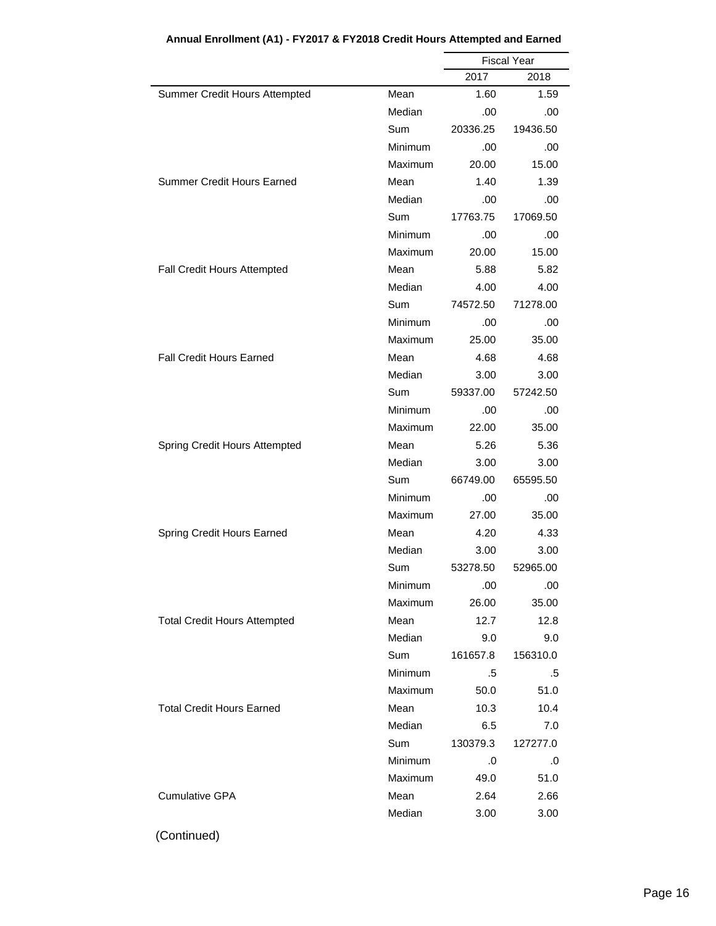|                                     |                | <b>Fiscal Year</b> |          |
|-------------------------------------|----------------|--------------------|----------|
|                                     |                | 2017               | 2018     |
| Summer Credit Hours Attempted       | Mean           | 1.60               | 1.59     |
|                                     | Median         | .00                | .00      |
|                                     | Sum            | 20336.25           | 19436.50 |
|                                     | Minimum        | .00                | .00      |
|                                     | Maximum        | 20.00              | 15.00    |
| <b>Summer Credit Hours Earned</b>   | Mean           | 1.40               | 1.39     |
|                                     | Median         | .00                | .00      |
|                                     | Sum            | 17763.75           | 17069.50 |
|                                     | Minimum        | .00                | .00      |
|                                     | Maximum        | 20.00              | 15.00    |
| Fall Credit Hours Attempted         | Mean           | 5.88               | 5.82     |
|                                     | Median         | 4.00               | 4.00     |
|                                     | Sum            | 74572.50           | 71278.00 |
|                                     | Minimum        | .00                | .00      |
|                                     | Maximum        | 25.00              | 35.00    |
| <b>Fall Credit Hours Earned</b>     | Mean           | 4.68               | 4.68     |
|                                     | Median         | 3.00               | 3.00     |
|                                     | Sum            | 59337.00           | 57242.50 |
|                                     | Minimum        | .00                | .00      |
|                                     | Maximum        | 22.00              | 35.00    |
| Spring Credit Hours Attempted       | Mean           | 5.26               | 5.36     |
|                                     | Median         | 3.00               | 3.00     |
|                                     | Sum            | 66749.00           | 65595.50 |
|                                     | Minimum        | .00                | .00      |
|                                     | Maximum        | 27.00              | 35.00    |
| Spring Credit Hours Earned          | Mean           | 4.20               | 4.33     |
|                                     | Median         | 3.00               | 3.00     |
|                                     | Sum            | 53278.50           | 52965.00 |
|                                     | Minimum        | .00                | .00      |
|                                     | Maximum        | 26.00              | 35.00    |
| <b>Total Credit Hours Attempted</b> | Mean           | 12.7               | 12.8     |
|                                     | Median         | 9.0                | 9.0      |
|                                     | Sum            | 161657.8           | 156310.0 |
|                                     | <b>Minimum</b> | .5                 | .5       |
|                                     | Maximum        | 50.0               | 51.0     |
| <b>Total Credit Hours Earned</b>    | Mean           | 10.3               | 10.4     |
|                                     | Median         | 6.5                | 7.0      |
|                                     | Sum            | 130379.3           | 127277.0 |
|                                     | Minimum        | .0                 | .0       |
|                                     | Maximum        | 49.0               | 51.0     |
| <b>Cumulative GPA</b>               | Mean           | 2.64               | 2.66     |
|                                     | Median         | 3.00               | 3.00     |
|                                     |                |                    |          |

**Annual Enrollment (A1) - FY2017 & FY2018 Credit Hours Attempted and Earned**